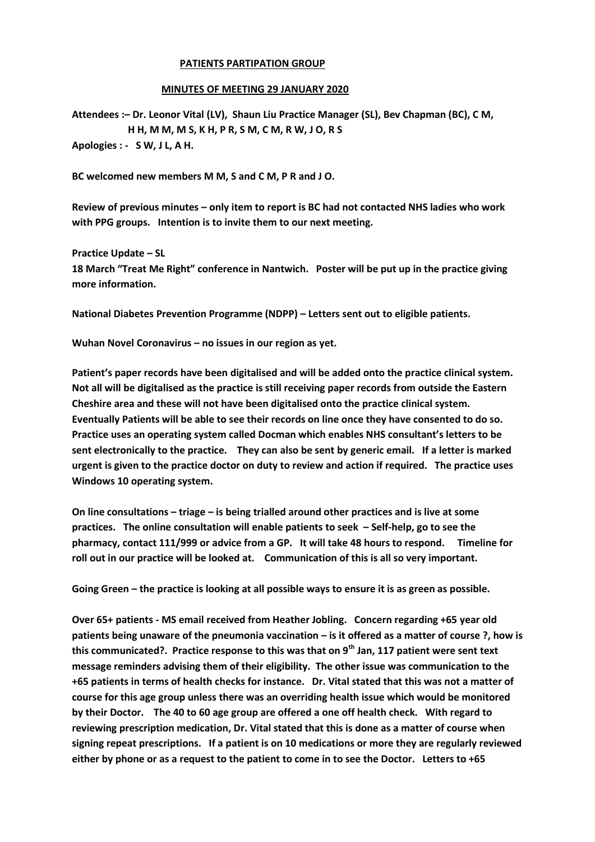## **PATIENTS PARTIPATION GROUP**

## **MINUTES OF MEETING 29 JANUARY 2020**

**Attendees :– Dr. Leonor Vital (LV), Shaun Liu Practice Manager (SL), Bev Chapman (BC), C M, H H, M M, M S, K H, P R, S M, C M, R W, J O, R S Apologies : - S W, J L, A H.**

**BC welcomed new members M M, S and C M, P R and J O.**

**Review of previous minutes – only item to report is BC had not contacted NHS ladies who work with PPG groups. Intention is to invite them to our next meeting.**

**Practice Update – SL**

**18 March "Treat Me Right" conference in Nantwich. Poster will be put up in the practice giving more information.**

**National Diabetes Prevention Programme (NDPP) – Letters sent out to eligible patients.**

**Wuhan Novel Coronavirus – no issues in our region as yet.**

**Patient's paper records have been digitalised and will be added onto the practice clinical system. Not all will be digitalised as the practice is still receiving paper records from outside the Eastern Cheshire area and these will not have been digitalised onto the practice clinical system. Eventually Patients will be able to see their records on line once they have consented to do so. Practice uses an operating system called Docman which enables NHS consultant's letters to be sent electronically to the practice. They can also be sent by generic email. If a letter is marked urgent is given to the practice doctor on duty to review and action if required. The practice uses Windows 10 operating system.**

**On line consultations – triage – is being trialled around other practices and is live at some practices. The online consultation will enable patients to seek – Self-help, go to see the pharmacy, contact 111/999 or advice from a GP. It will take 48 hours to respond. Timeline for roll out in our practice will be looked at. Communication of this is all so very important.**

**Going Green – the practice is looking at all possible ways to ensure it is as green as possible.**

**Over 65+ patients - MS email received from Heather Jobling. Concern regarding +65 year old patients being unaware of the pneumonia vaccination – is it offered as a matter of course ?, how is this communicated?. Practice response to this was that on 9th Jan, 117 patient were sent text message reminders advising them of their eligibility. The other issue was communication to the +65 patients in terms of health checks for instance. Dr. Vital stated that this was not a matter of course for this age group unless there was an overriding health issue which would be monitored by their Doctor. The 40 to 60 age group are offered a one off health check. With regard to reviewing prescription medication, Dr. Vital stated that this is done as a matter of course when signing repeat prescriptions. If a patient is on 10 medications or more they are regularly reviewed either by phone or as a request to the patient to come in to see the Doctor. Letters to +65**